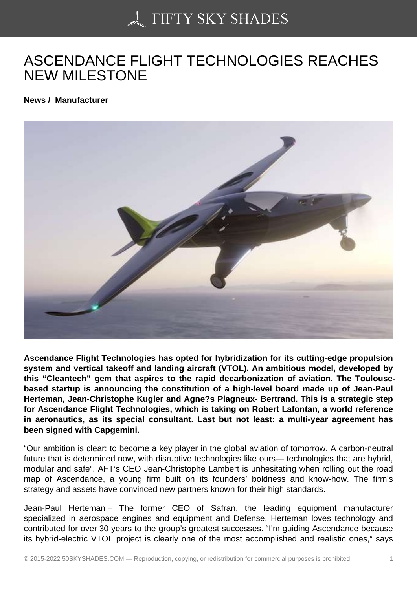## [ASCENDANCE FLIGH](https://50skyshades.com)T TECHNOLOGIES REACHES NEW MILESTONE

News / Manufacturer

Ascendance Flight Technologies has opted for hybridization for its cutting-edge propulsion system and vertical takeoff and landing aircraft (VTOL). An ambitious model, developed by this "Cleantech" gem that aspires to the rapid decarbonization of aviation. The Toulousebased startup is announcing the constitution of a high-level board made up of Jean-Paul Herteman, Jean-Christophe Kugler and Agne?s Plagneux- Bertrand. This is a strategic step for Ascendance Flight Technologies, which is taking on Robert Lafontan, a world reference in aeronautics, as its special consultant. Last but not least: a multi-year agreement has been signed with Capgemini.

"Our ambition is clear: to become a key player in the global aviation of tomorrow. A carbon-neutral future that is determined now, with disruptive technologies like ours— technologies that are hybrid, modular and safe". AFT's CEO Jean-Christophe Lambert is unhesitating when rolling out the road map of Ascendance, a young firm built on its founders' boldness and know-how. The firm's strategy and assets have convinced new partners known for their high standards.

Jean-Paul Herteman – The former CEO of Safran, the leading equipment manufacturer specialized in aerospace engines and equipment and Defense, Herteman loves technology and contributed for over 30 years to the group's greatest successes. "I'm guiding Ascendance because its hybrid-electric VTOL project is clearly one of the most accomplished and realistic ones," says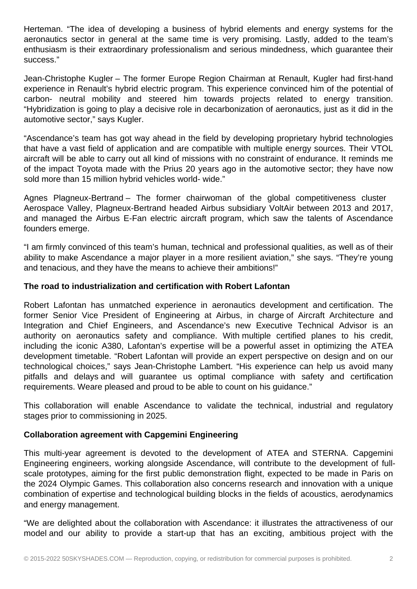Herteman. "The idea of developing a business of hybrid elements and energy systems for the aeronautics sector in general at the same time is very promising. Lastly, added to the team's enthusiasm is their extraordinary professionalism and serious mindedness, which guarantee their success."

Jean-Christophe Kugler – The former Europe Region Chairman at Renault, Kugler had first-hand experience in Renault's hybrid electric program. This experience convinced him of the potential of carbon- neutral mobility and steered him towards projects related to energy transition. "Hybridization is going to play a decisive role in decarbonization of aeronautics, just as it did in the automotive sector," says Kugler.

"Ascendance's team has got way ahead in the field by developing proprietary hybrid technologies that have a vast field of application and are compatible with multiple energy sources. Their VTOL aircraft will be able to carry out all kind of missions with no constraint of endurance. It reminds me of the impact Toyota made with the Prius 20 years ago in the automotive sector; they have now sold more than 15 million hybrid vehicles world- wide."

Agnes Plagneux-Bertrand – The former chairwoman of the global competitiveness cluster Aerospace Valley, Plagneux-Bertrand headed Airbus subsidiary VoltAir between 2013 and 2017, and managed the Airbus E-Fan electric aircraft program, which saw the talents of Ascendance founders emerge.

"I am firmly convinced of this team's human, technical and professional qualities, as well as of their ability to make Ascendance a major player in a more resilient aviation," she says. "They're young and tenacious, and they have the means to achieve their ambitions!"

## **The road to industrialization and certification with Robert Lafontan**

Robert Lafontan has unmatched experience in aeronautics development and certification. The former Senior Vice President of Engineering at Airbus, in charge of Aircraft Architecture and Integration and Chief Engineers, and Ascendance's new Executive Technical Advisor is an authority on aeronautics safety and compliance. With multiple certified planes to his credit, including the iconic A380, Lafontan's expertise will be a powerful asset in optimizing the ATEA development timetable. "Robert Lafontan will provide an expert perspective on design and on our technological choices," says Jean-Christophe Lambert. "His experience can help us avoid many pitfalls and delays and will guarantee us optimal compliance with safety and certification requirements. Weare pleased and proud to be able to count on his guidance."

This collaboration will enable Ascendance to validate the technical, industrial and regulatory stages prior to commissioning in 2025.

## **Collaboration agreement with Capgemini Engineering**

This multi-year agreement is devoted to the development of ATEA and STERNA. Capgemini Engineering engineers, working alongside Ascendance, will contribute to the development of fullscale prototypes, aiming for the first public demonstration flight, expected to be made in Paris on the 2024 Olympic Games. This collaboration also concerns research and innovation with a unique combination of expertise and technological building blocks in the fields of acoustics, aerodynamics and energy management.

"We are delighted about the collaboration with Ascendance: it illustrates the attractiveness of our model and our ability to provide a start-up that has an exciting, ambitious project with the